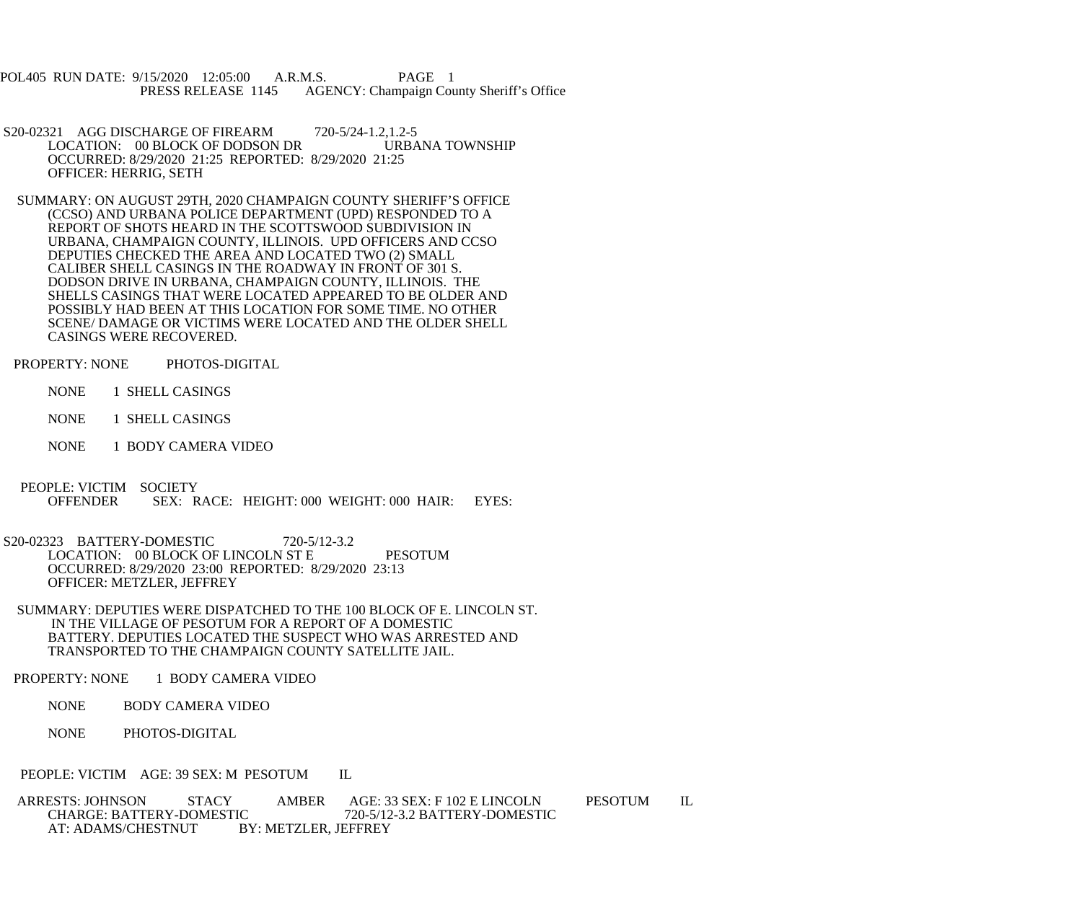POL405 RUN DATE: 9/15/2020 12:05:00 A.R.M.S. PAGE 1<br>PRESS RELEASE 1145 AGENCY: Champaign Cou AGENCY: Champaign County Sheriff's Office

- S20-02321 AGG DISCHARGE OF FIREARM 720-5/24-1.2,1.2-5 LOCATION: 00 BLOCK OF DODSON DR URBANA TOWNSHIP OCCURRED: 8/29/2020 21:25 REPORTED: 8/29/2020 21:25 OFFICER: HERRIG, SETH
- SUMMARY: ON AUGUST 29TH, 2020 CHAMPAIGN COUNTY SHERIFF'S OFFICE (CCSO) AND URBANA POLICE DEPARTMENT (UPD) RESPONDED TO A REPORT OF SHOTS HEARD IN THE SCOTTSWOOD SUBDIVISION IN URBANA, CHAMPAIGN COUNTY, ILLINOIS. UPD OFFICERS AND CCSO DEPUTIES CHECKED THE AREA AND LOCATED TWO (2) SMALL CALIBER SHELL CASINGS IN THE ROADWAY IN FRONT OF 301 S. DODSON DRIVE IN URBANA, CHAMPAIGN COUNTY, ILLINOIS. THE SHELLS CASINGS THAT WERE LOCATED APPEARED TO BE OLDER AND POSSIBLY HAD BEEN AT THIS LOCATION FOR SOME TIME. NO OTHER SCENE/ DAMAGE OR VICTIMS WERE LOCATED AND THE OLDER SHELL CASINGS WERE RECOVERED.
- PROPERTY: NONE PHOTOS-DIGITAL
	- NONE 1 SHELL CASINGS
	- NONE 1 SHELL CASINGS
	- NONE 1 BODY CAMERA VIDEO
- PEOPLE: VICTIM SOCIETY<br>OFFENDER SEX: R SEX: RACE: HEIGHT: 000 WEIGHT: 000 HAIR: EYES:
- S20-02323 BATTERY-DOMESTIC 720-5/12-3.2 LOCATION: 00 BLOCK OF LINCOLN ST E PESOTUM OCCURRED: 8/29/2020 23:00 REPORTED: 8/29/2020 23:13 OFFICER: METZLER, JEFFREY
- SUMMARY: DEPUTIES WERE DISPATCHED TO THE 100 BLOCK OF E. LINCOLN ST. IN THE VILLAGE OF PESOTUM FOR A REPORT OF A DOMESTIC BATTERY. DEPUTIES LOCATED THE SUSPECT WHO WAS ARRESTED AND TRANSPORTED TO THE CHAMPAIGN COUNTY SATELLITE JAIL.
- PROPERTY: NONE 1 BODY CAMERA VIDEO
	- NONE BODY CAMERA VIDEO
	- NONE PHOTOS-DIGITAL
- PEOPLE: VICTIM AGE: 39 SEX: M PESOTUM IL
- ARRESTS: JOHNSON STACY AMBER AGE: 33 SEX: F 102 E LINCOLN PESOTUM IL<br>CHARGE: BATTERY-DOMESTIC 720-5/12-3.2 BATTERY-DOMESTIC CHARGE: BATTERY-DOMESTIC 720-5/12-3.2 BATTERY-DOMESTIC<br>AT: ADAMS/CHESTNUT BY: METZLER. JEFFREY BY: METZLER, JEFFREY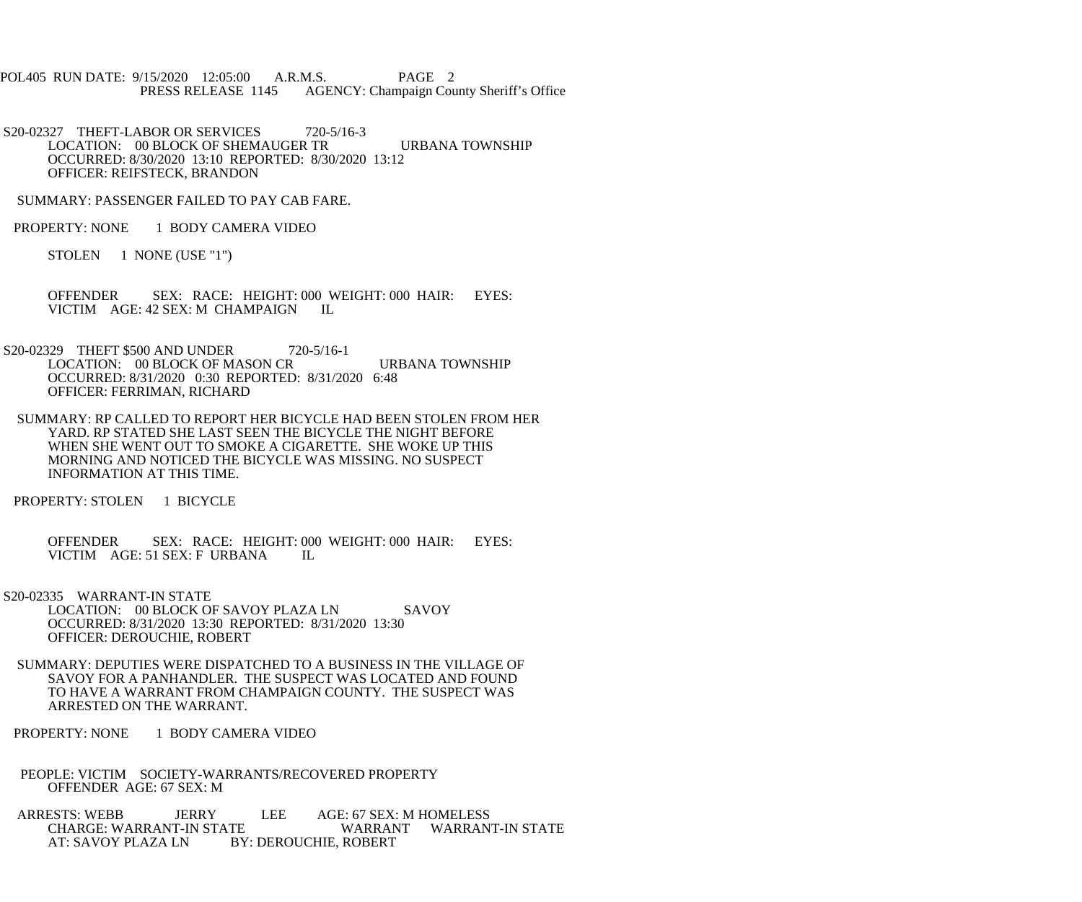POL405 RUN DATE: 9/15/2020 12:05:00 A.R.M.S. PAGE 2<br>PRESS RELEASE 1145 AGENCY: Champaign Cou AGENCY: Champaign County Sheriff's Office

 S20-02327 THEFT-LABOR OR SERVICES 720-5/16-3 LOCATION: 00 BLOCK OF SHEMAUGER TR URBANA TOWNSHIP OCCURRED: 8/30/2020 13:10 REPORTED: 8/30/2020 13:12 OFFICER: REIFSTECK, BRANDON

SUMMARY: PASSENGER FAILED TO PAY CAB FARE.

PROPERTY: NONE 1 BODY CAMERA VIDEO

STOLEN 1 NONE (USE "1")

 OFFENDER SEX: RACE: HEIGHT: 000 WEIGHT: 000 HAIR: EYES: VICTIM AGE: 42 SEX: M CHAMPAIGN IL

S20-02329 THEFT \$500 AND UNDER 720-5/16-1 LOCATION: 00 BLOCK OF MASON CR URBANA TOWNSHIP OCCURRED: 8/31/2020 0:30 REPORTED: 8/31/2020 6:48 OFFICER: FERRIMAN, RICHARD

 SUMMARY: RP CALLED TO REPORT HER BICYCLE HAD BEEN STOLEN FROM HER YARD. RP STATED SHE LAST SEEN THE BICYCLE THE NIGHT BEFORE WHEN SHE WENT OUT TO SMOKE A CIGARETTE. SHE WOKE UP THIS MORNING AND NOTICED THE BICYCLE WAS MISSING. NO SUSPECT INFORMATION AT THIS TIME.

PROPERTY: STOLEN 1 BICYCLE

 OFFENDER SEX: RACE: HEIGHT: 000 WEIGHT: 000 HAIR: EYES: VICTIM AGE: 51 SEX: F URBANA IL

 S20-02335 WARRANT-IN STATE LOCATION: 00 BLOCK OF SAVOY PLAZA LN SAVOY OCCURRED: 8/31/2020 13:30 REPORTED: 8/31/2020 13:30 OFFICER: DEROUCHIE, ROBERT

 SUMMARY: DEPUTIES WERE DISPATCHED TO A BUSINESS IN THE VILLAGE OF SAVOY FOR A PANHANDLER. THE SUSPECT WAS LOCATED AND FOUND TO HAVE A WARRANT FROM CHAMPAIGN COUNTY. THE SUSPECT WAS ARRESTED ON THE WARRANT.

PROPERTY: NONE 1 BODY CAMERA VIDEO

 PEOPLE: VICTIM SOCIETY-WARRANTS/RECOVERED PROPERTY OFFENDER AGE: 67 SEX: M

ARRESTS: WEBB JERRY LEE AGE: 67 SEX: M HOMELESS<br>CHARGE: WARRANT-IN STATE WARRANT WARRANT CHARGE: WARRANT-IN STATE WARRANT WARRANT-IN STATE<br>AT: SAVOY PLAZA LN BY: DEROUCHIE. ROBERT **BY: DEROUCHIE, ROBERT**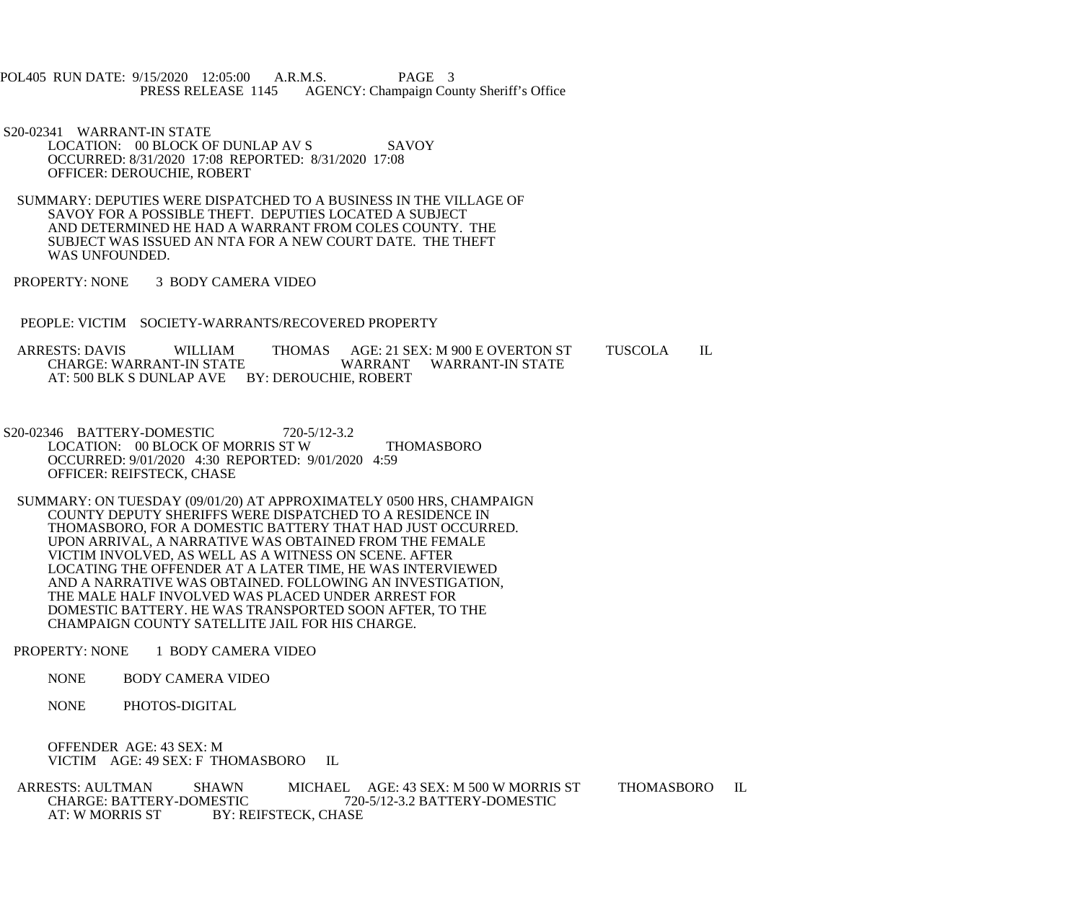POL405 RUN DATE: 9/15/2020 12:05:00 A.R.M.S. PAGE 3<br>PRESS RELEASE 1145 AGENCY: Champaign Cou AGENCY: Champaign County Sheriff's Office

 S20-02341 WARRANT-IN STATE LOCATION: 00 BLOCK OF DUNLAP AV S SAVOY OCCURRED: 8/31/2020 17:08 REPORTED: 8/31/2020 17:08 OFFICER: DEROUCHIE, ROBERT

 SUMMARY: DEPUTIES WERE DISPATCHED TO A BUSINESS IN THE VILLAGE OF SAVOY FOR A POSSIBLE THEFT. DEPUTIES LOCATED A SUBJECT AND DETERMINED HE HAD A WARRANT FROM COLES COUNTY. THE SUBJECT WAS ISSUED AN NTA FOR A NEW COURT DATE. THE THEFT WAS UNFOUNDED.

PROPERTY: NONE 3 BODY CAMERA VIDEO

PEOPLE: VICTIM SOCIETY-WARRANTS/RECOVERED PROPERTY

ARRESTS: DAVIS WILLIAM THOMAS AGE: 21 SEX: M 900 E OVERTON ST TUSCOLA IL<br>CHARGE: WARRANT-IN STATE WARRANT WARRANT-IN STATE CHARGE: WARRANT-IN STATE AT: 500 BLK S DUNLAP AVE BY: DEROUCHIE, ROBERT

- S20-02346 BATTERY-DOMESTIC 720-5/12-3.2 LOCATION: 00 BLOCK OF MORRIS ST W THOMASBORO OCCURRED: 9/01/2020 4:30 REPORTED: 9/01/2020 4:59 OFFICER: REIFSTECK, CHASE
- SUMMARY: ON TUESDAY (09/01/20) AT APPROXIMATELY 0500 HRS, CHAMPAIGN COUNTY DEPUTY SHERIFFS WERE DISPATCHED TO A RESIDENCE IN THOMASBORO, FOR A DOMESTIC BATTERY THAT HAD JUST OCCURRED. UPON ARRIVAL, A NARRATIVE WAS OBTAINED FROM THE FEMALE VICTIM INVOLVED, AS WELL AS A WITNESS ON SCENE. AFTER LOCATING THE OFFENDER AT A LATER TIME, HE WAS INTERVIEWED AND A NARRATIVE WAS OBTAINED. FOLLOWING AN INVESTIGATION, THE MALE HALF INVOLVED WAS PLACED UNDER ARREST FOR DOMESTIC BATTERY. HE WAS TRANSPORTED SOON AFTER, TO THE CHAMPAIGN COUNTY SATELLITE JAIL FOR HIS CHARGE.

PROPERTY: NONE 1 BODY CAMERA VIDEO

NONE BODY CAMERA VIDEO

NONE PHOTOS-DIGITAL

 OFFENDER AGE: 43 SEX: M VICTIM AGE: 49 SEX: F THOMASBORO IL

ARRESTS: AULTMAN SHAWN MICHAEL AGE: 43 SEX: M 500 W MORRIS ST THOMASBORO IL CHARGE: BATTERY-DOMESTIC 720-5/12-3.2 BATTERY-DOMESTIC CHARGE: BATTERY-DOMESTIC 720-5/12-3.2 BATTERY-DOMESTIC<br>AT: W MORRIS ST BY: REIFSTECK. CHASE BY: REIFSTECK, CHASE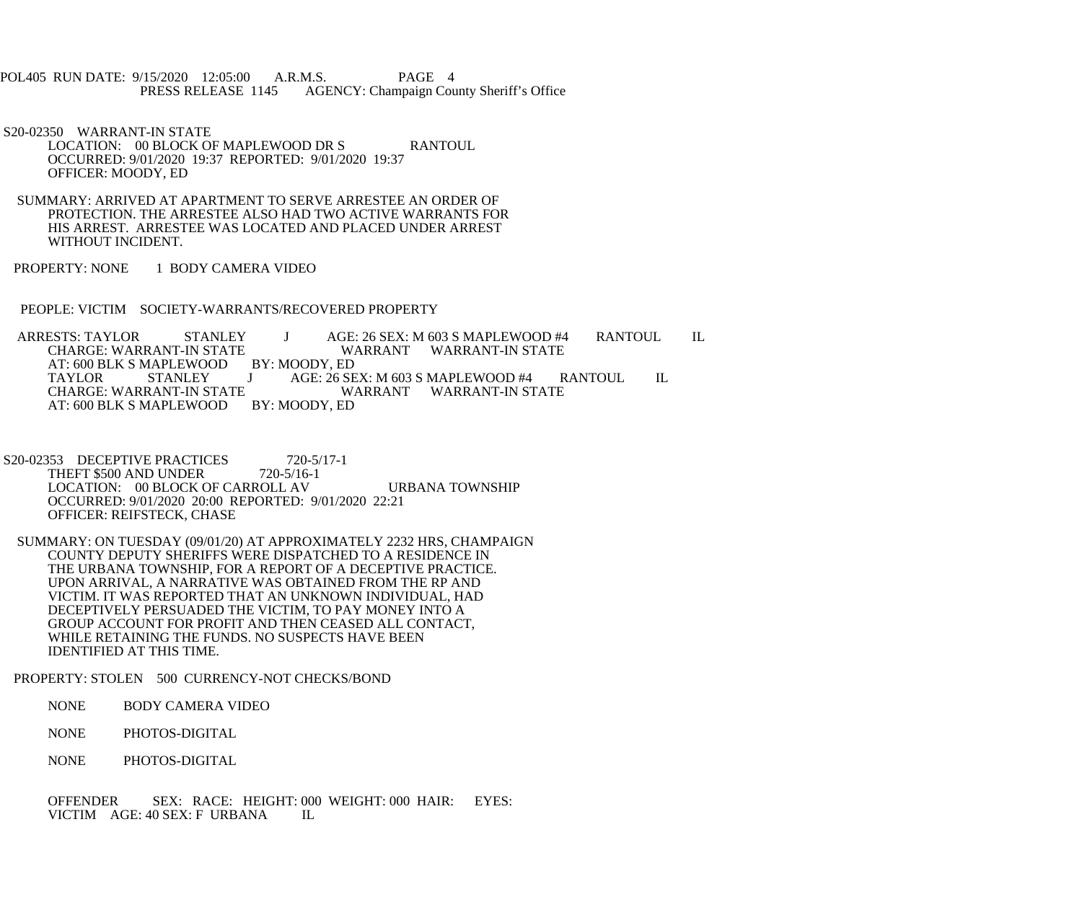POL405 RUN DATE: 9/15/2020 12:05:00 A.R.M.S. PAGE 4<br>PRESS RELEASE 1145 AGENCY: Champaign Cou AGENCY: Champaign County Sheriff's Office

S20-02350 WARRANT-IN STATE

LOCATION: 00 BLOCK OF MAPLEWOOD DR S RANTOUL OCCURRED: 9/01/2020 19:37 REPORTED: 9/01/2020 19:37 OFFICER: MOODY, ED

 SUMMARY: ARRIVED AT APARTMENT TO SERVE ARRESTEE AN ORDER OF PROTECTION. THE ARRESTEE ALSO HAD TWO ACTIVE WARRANTS FOR HIS ARREST. ARRESTEE WAS LOCATED AND PLACED UNDER ARREST WITHOUT INCIDENT.

PROPERTY: NONE 1 BODY CAMERA VIDEO

PEOPLE: VICTIM SOCIETY-WARRANTS/RECOVERED PROPERTY

 ARRESTS: TAYLOR STANLEY J AGE: 26 SEX: M 603 S MAPLEWOOD #4 RANTOUL IL WARRANT WARRANT-IN STATE AT: 600 BLK S MAPLEWOOD BY: MOODY, ED<br>TAYLOR STANLEY J AGE: 26 SI TAYLOR STANLEY J AGE: 26 SEX: M 603 S MAPLEWOOD #4 RANTOUL IL E WARRANT WARRANT-IN STATE<br>BY: MOODY, ED AT: 600 BLK S MAPLEWOOD

S20-02353 DECEPTIVE PRACTICES 720-5/17-1 THEFT \$500 AND UNDER 720-5/16-1 LOCATION: 00 BLOCK OF CARROLL AV URBANA TOWNSHIP OCCURRED: 9/01/2020 20:00 REPORTED: 9/01/2020 22:21 OFFICER: REIFSTECK, CHASE

 SUMMARY: ON TUESDAY (09/01/20) AT APPROXIMATELY 2232 HRS, CHAMPAIGN COUNTY DEPUTY SHERIFFS WERE DISPATCHED TO A RESIDENCE IN THE URBANA TOWNSHIP, FOR A REPORT OF A DECEPTIVE PRACTICE. UPON ARRIVAL, A NARRATIVE WAS OBTAINED FROM THE RP AND VICTIM. IT WAS REPORTED THAT AN UNKNOWN INDIVIDUAL, HAD DECEPTIVELY PERSUADED THE VICTIM, TO PAY MONEY INTO A GROUP ACCOUNT FOR PROFIT AND THEN CEASED ALL CONTACT, WHILE RETAINING THE FUNDS. NO SUSPECTS HAVE BEEN IDENTIFIED AT THIS TIME.

PROPERTY: STOLEN 500 CURRENCY-NOT CHECKS/BOND

NONE BODY CAMERA VIDEO

NONE PHOTOS-DIGITAL

NONE PHOTOS-DIGITAL

 OFFENDER SEX: RACE: HEIGHT: 000 WEIGHT: 000 HAIR: EYES: VICTIM AGE: 40 SEX: F URBANA IL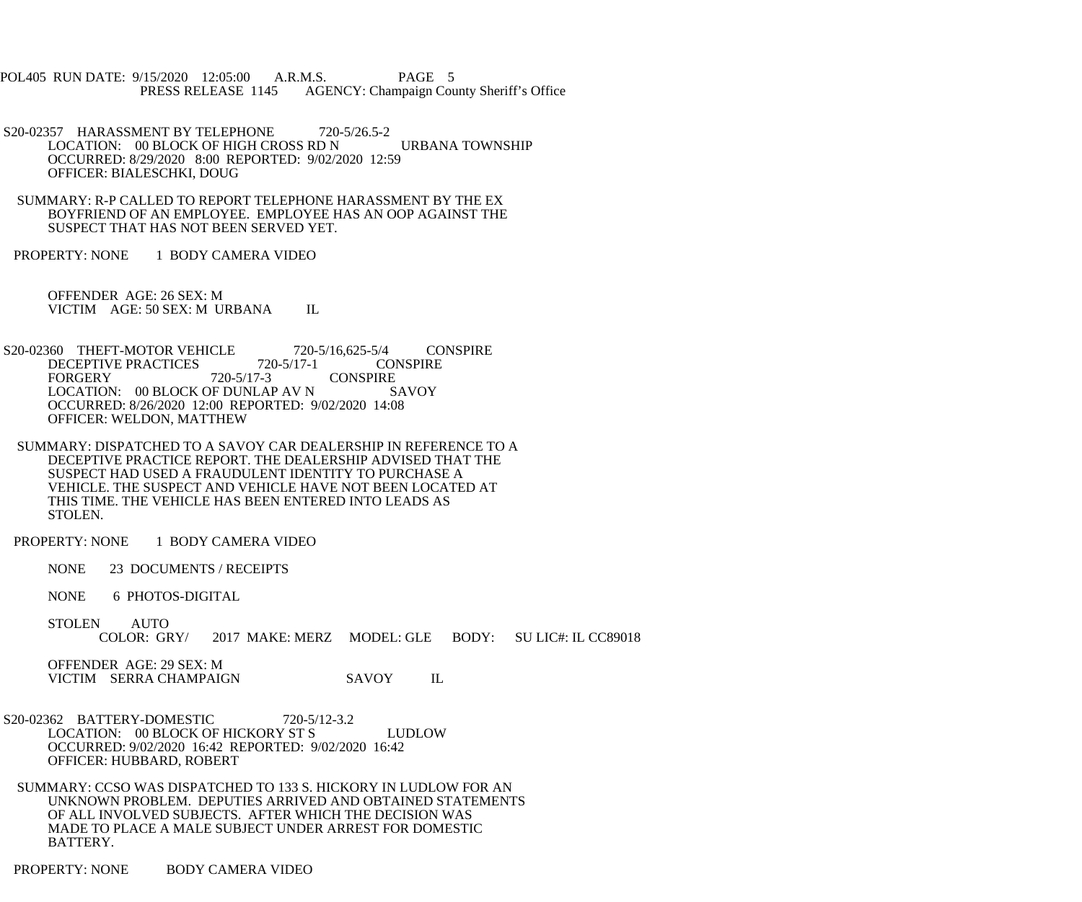POL405 RUN DATE: 9/15/2020 12:05:00 A.R.M.S. PAGE 5 PRESS RELEASE 1145 AGENCY: Champaign County Sheriff's Office

 S20-02357 HARASSMENT BY TELEPHONE 720-5/26.5-2 LOCATION: 00 BLOCK OF HIGH CROSS RD N URBANA TOWNSHIP OCCURRED: 8/29/2020 8:00 REPORTED: 9/02/2020 12:59 OFFICER: BIALESCHKI, DOUG

 SUMMARY: R-P CALLED TO REPORT TELEPHONE HARASSMENT BY THE EX BOYFRIEND OF AN EMPLOYEE. EMPLOYEE HAS AN OOP AGAINST THE SUSPECT THAT HAS NOT BEEN SERVED YET.

PROPERTY: NONE 1 BODY CAMERA VIDEO

 OFFENDER AGE: 26 SEX: M VICTIM AGE: 50 SEX: M URBANA IL

S20-02360 THEFT-MOTOR VEHICLE 720-5/16,625-5/4 CONSPIRE<br>DECEPTIVE PRACTICES 720-5/17-1 CONSPIRE DECEPTIVE PRACTICES 720-5/17-3 CONSPIRE<br>SAVOY LOCATION: 00 BLOCK OF DUNLAP AV N OCCURRED: 8/26/2020 12:00 REPORTED: 9/02/2020 14:08 OFFICER: WELDON, MATTHEW

 SUMMARY: DISPATCHED TO A SAVOY CAR DEALERSHIP IN REFERENCE TO A DECEPTIVE PRACTICE REPORT. THE DEALERSHIP ADVISED THAT THE SUSPECT HAD USED A FRAUDULENT IDENTITY TO PURCHASE A VEHICLE. THE SUSPECT AND VEHICLE HAVE NOT BEEN LOCATED AT THIS TIME. THE VEHICLE HAS BEEN ENTERED INTO LEADS AS STOLEN.

PROPERTY: NONE 1 BODY CAMERA VIDEO

NONE 23 DOCUMENTS / RECEIPTS

NONE 6 PHOTOS-DIGITAL

STOLEN AUTO<br>COLOR: GRY/ 2017 MAKE: MERZ MODEL: GLE BODY: SU LIC#: IL CC89018

 OFFENDER AGE: 29 SEX: M VICTIM SERRA CHAMPAIGN SAVOY IL

 S20-02362 BATTERY-DOMESTIC 720-5/12-3.2 LOCATION: 00 BLOCK OF HICKORY ST S LUDLOW OCCURRED: 9/02/2020 16:42 REPORTED: 9/02/2020 16:42 OFFICER: HUBBARD, ROBERT

 SUMMARY: CCSO WAS DISPATCHED TO 133 S. HICKORY IN LUDLOW FOR AN UNKNOWN PROBLEM. DEPUTIES ARRIVED AND OBTAINED STATEMENTS OF ALL INVOLVED SUBJECTS. AFTER WHICH THE DECISION WAS MADE TO PLACE A MALE SUBJECT UNDER ARREST FOR DOMESTIC BATTERY.

PROPERTY: NONE BODY CAMERA VIDEO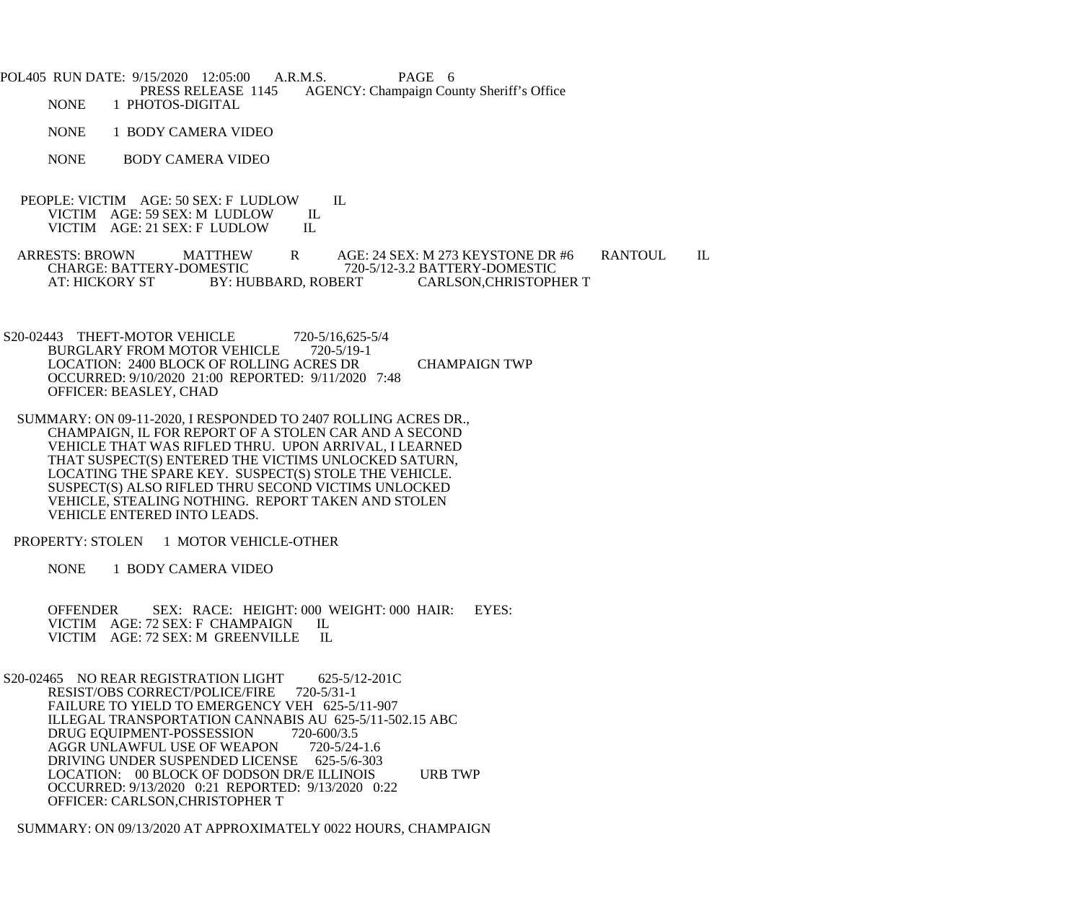POL405 RUN DATE: 9/15/2020 12:05:00 A.R.M.S. PAGE 6<br>PRESS RELEASE 1145 AGENCY: Champaign Cou PRESS RELEASE 1145 AGENCY: Champaign County Sheriff's Office<br>NONE 1 PHOTOS-DIGITAL 1 PHOTOS-DIGITAL

NONE 1 BODY CAMERA VIDEO

NONE BODY CAMERA VIDEO

 PEOPLE: VICTIM AGE: 50 SEX: F LUDLOW IL VICTIM AGE: 59 SEX: M LUDLOW II<br>VICTIM AGE: 21 SEX: F LUDLOW IL VICTIM AGE: 21 SEX: F LUDLOW

ARRESTS: BROWN MATTHEW R AGE: 24 SEX: M 273 KEYSTONE DR #6 RANTOUL IL CHARGE: BATTERY-DOMESTIC 720-5/12-3.2 BATTERY-DOMESTIC CHARGE: BATTERY-DOMESTIC 720-5/12-3.2 BATTERY-DOMESTIC<br>AT: HICKORY ST BY: HUBBARD, ROBERT CARLSON,CHRISTOPH CARLSON, CHRISTOPHER T

- S20-02443 THEFT-MOTOR VEHICLE 720-5/16,625-5/4<br>BURGLARY FROM MOTOR VEHICLE 720-5/19-1 BURGLARY FROM MOTOR VEHICLE LOCATION: 2400 BLOCK OF ROLLING ACRES DR CHAMPAIGN TWP OCCURRED: 9/10/2020 21:00 REPORTED: 9/11/2020 7:48 OFFICER: BEASLEY, CHAD
- SUMMARY: ON 09-11-2020, I RESPONDED TO 2407 ROLLING ACRES DR., CHAMPAIGN, IL FOR REPORT OF A STOLEN CAR AND A SECOND VEHICLE THAT WAS RIFLED THRU. UPON ARRIVAL, I LEARNED THAT SUSPECT(S) ENTERED THE VICTIMS UNLOCKED SATURN, LOCATING THE SPARE KEY. SUSPECT(S) STOLE THE VEHICLE. SUSPECT(S) ALSO RIFLED THRU SECOND VICTIMS UNLOCKED VEHICLE, STEALING NOTHING. REPORT TAKEN AND STOLEN VEHICLE ENTERED INTO LEADS.

PROPERTY: STOLEN 1 MOTOR VEHICLE-OTHER

NONE 1 BODY CAMERA VIDEO

 OFFENDER SEX: RACE: HEIGHT: 000 WEIGHT: 000 HAIR: EYES: VICTIM AGE: 72 SEX: F CHAMPAIGN IL<br>VICTIM AGE: 72 SEX: M GREENVILLE IL VICTIM AGE: 72 SEX: M GREENVILLE

S20-02465 NO REAR REGISTRATION LIGHT 625-5/12-201C<br>RESIST/OBS CORRECT/POLICE/FIRE 720-5/31-1 RESIST/OBS CORRECT/POLICE/FIRE FAILURE TO YIELD TO EMERGENCY VEH 625-5/11-907 ILLEGAL TRANSPORTATION CANNABIS AU 625-5/11-502.15 ABC<br>DRUG EQUIPMENT-POSSESSION 720-600/3.5 DRUG EQUIPMENT-POSSESSION 720-600/3.5<br>AGGR UNLAWFUL USE OF WEAPON 720-5/24-1.6 AGGR UNLAWFUL USE OF WEAPON DRIVING UNDER SUSPENDED LICENSE 625-5/6-303 LOCATION: 00 BLOCK OF DODSON DR/E ILLINOIS URB TWP OCCURRED: 9/13/2020 0:21 REPORTED: 9/13/2020 0:22 OFFICER: CARLSON,CHRISTOPHER T

SUMMARY: ON 09/13/2020 AT APPROXIMATELY 0022 HOURS, CHAMPAIGN